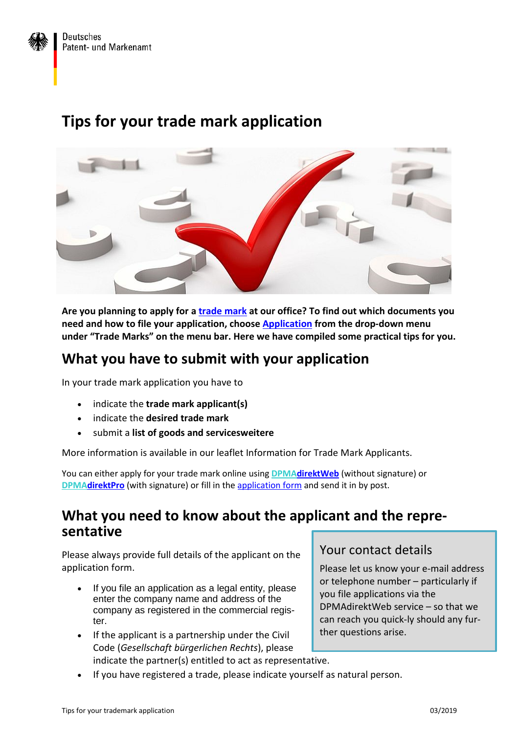

# **Tips for your trade mark application**



**Are you planning to apply for a [trade mark](https://www.dpma.de/english/trade_marks/index.html) at our office? To find out which documents you need and how to file your application, choose [Application](https://www.dpma.de/english/trade_marks/application/index.html) from the drop-down menu under "Trade Marks" on the menu bar. Here we have compiled some practical tips for you.**

### **What you have to submit with your application**

In your trade mark application you have to

- indicate the **trade mark applicant(s)**
- indicate the **desired trade mark**
- submit a **list of goods and servicesweitere**

More information is available in our leaflet Information for Trade Mark Applicants.

You can either apply for your trade mark online using **[DPMAdirektWeb](https://www.dpma.de/english/services/efiling/dpmadirektweb/index.html)** (without signature) or **[DPMAdirektPro](https://www.dpma.de/english/services/efiling/dpmadirekt/index.html)** (with signature) or fill in the [application form](https://www.dpma.de/english/services/forms/trade_marks/index.html) and send it in by post.

#### **What you need to know about the applicant and the representative**

Please always provide full details of the applicant on the application form.

- If you file an application as a legal entity, please enter the company name and address of the company as registered in the commercial register.
- If the applicant is a partnership under the Civil Code (*Gesellschaft bürgerlichen Rechts*), please indicate the partner(s) entitled to act as representative.

#### Your contact details

Please let us know your e-mail address or telephone number – particularly if you file applications via the DPMAdirektWeb service – so that we can reach you quick-ly should any further questions arise.

• If you have registered a trade, please indicate yourself as natural person.